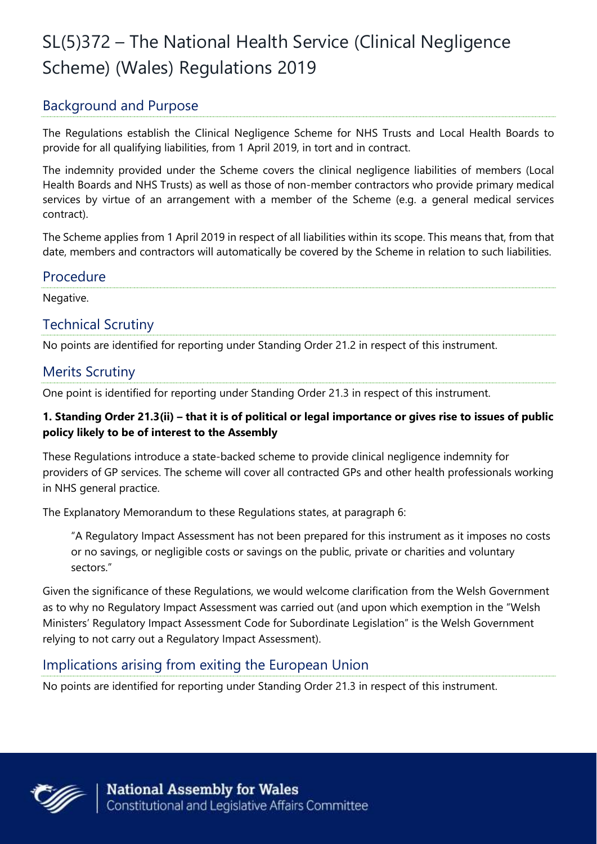# SL(5)372 – The National Health Service (Clinical Negligence Scheme) (Wales) Regulations 2019

# Background and Purpose

The Regulations establish the Clinical Negligence Scheme for NHS Trusts and Local Health Boards to provide for all qualifying liabilities, from 1 April 2019, in tort and in contract.

The indemnity provided under the Scheme covers the clinical negligence liabilities of members (Local Health Boards and NHS Trusts) as well as those of non-member contractors who provide primary medical services by virtue of an arrangement with a member of the Scheme (e.g. a general medical services contract).

The Scheme applies from 1 April 2019 in respect of all liabilities within its scope. This means that, from that date, members and contractors will automatically be covered by the Scheme in relation to such liabilities.

### Procedure

Negative.

## Technical Scrutiny

No points are identified for reporting under Standing Order 21.2 in respect of this instrument.

## Merits Scrutiny

One point is identified for reporting under Standing Order 21.3 in respect of this instrument.

#### **1. Standing Order 21.3(ii) – that it is of political or legal importance or gives rise to issues of public policy likely to be of interest to the Assembly**

These Regulations introduce a state-backed scheme to provide clinical negligence indemnity for providers of GP services. The scheme will cover all contracted GPs and other health professionals working in NHS general practice.

The Explanatory Memorandum to these Regulations states, at paragraph 6:

"A Regulatory Impact Assessment has not been prepared for this instrument as it imposes no costs or no savings, or negligible costs or savings on the public, private or charities and voluntary sectors."

Given the significance of these Regulations, we would welcome clarification from the Welsh Government as to why no Regulatory Impact Assessment was carried out (and upon which exemption in the "Welsh Ministers' Regulatory Impact Assessment Code for Subordinate Legislation" is the Welsh Government relying to not carry out a Regulatory Impact Assessment).

# Implications arising from exiting the European Union

No points are identified for reporting under Standing Order 21.3 in respect of this instrument.

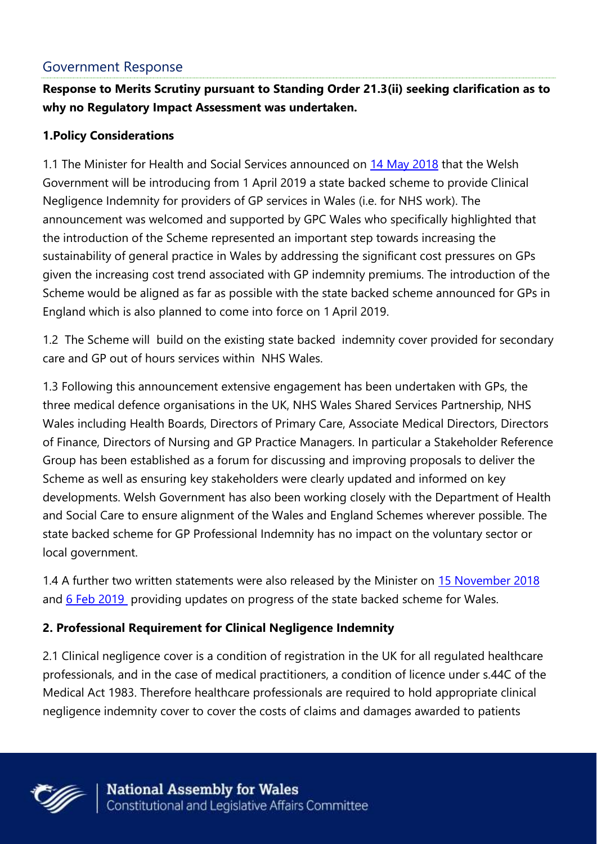## Government Response

**Response to Merits Scrutiny pursuant to Standing Order 21.3(ii) seeking clarification as to why no Regulatory Impact Assessment was undertaken.**

#### **1.Policy Considerations**

1.1 The Minister for Health and Social Services announced on [14 May 2018](http://www.wales.nhs.uk/sites3/Documents/480/20180514%20-%20GP%20Professional%20Indemnity%20Written%20Statement.pdf) that the Welsh Government will be introducing from 1 April 2019 a state backed scheme to provide Clinical Negligence Indemnity for providers of GP services in Wales (i.e. for NHS work). The announcement was welcomed and supported by GPC Wales who specifically highlighted that the introduction of the Scheme represented an important step towards increasing the sustainability of general practice in Wales by addressing the significant cost pressures on GPs given the increasing cost trend associated with GP indemnity premiums. The introduction of the Scheme would be aligned as far as possible with the state backed scheme announced for GPs in England which is also planned to come into force on 1 April 2019.

1.2 The Scheme will build on the existing state backed indemnity cover provided for secondary care and GP out of hours services within NHS Wales.

1.3 Following this announcement extensive engagement has been undertaken with GPs, the three medical defence organisations in the UK, NHS Wales Shared Services Partnership, NHS Wales including Health Boards, Directors of Primary Care, Associate Medical Directors, Directors of Finance, Directors of Nursing and GP Practice Managers. In particular a Stakeholder Reference Group has been established as a forum for discussing and improving proposals to deliver the Scheme as well as ensuring key stakeholders were clearly updated and informed on key developments. Welsh Government has also been working closely with the Department of Health and Social Care to ensure alignment of the Wales and England Schemes wherever possible. The state backed scheme for GP Professional Indemnity has no impact on the voluntary sector or local government.

1.4 A further two written statements were also released by the Minister on [15 November 2018](https://beta.gov.wales/written-statement-gp-professional-indemnity-0) and [6 Feb 2019](https://beta.gov.wales/written-statement-gp-professional-indemnity-1) providing updates on progress of the state backed scheme for Wales.

### **2. Professional Requirement for Clinical Negligence Indemnity**

2.1 Clinical negligence cover is a condition of registration in the UK for all regulated healthcare professionals, and in the case of medical practitioners, a condition of licence under s.44C of the Medical Act 1983. Therefore healthcare professionals are required to hold appropriate clinical negligence indemnity cover to cover the costs of claims and damages awarded to patients